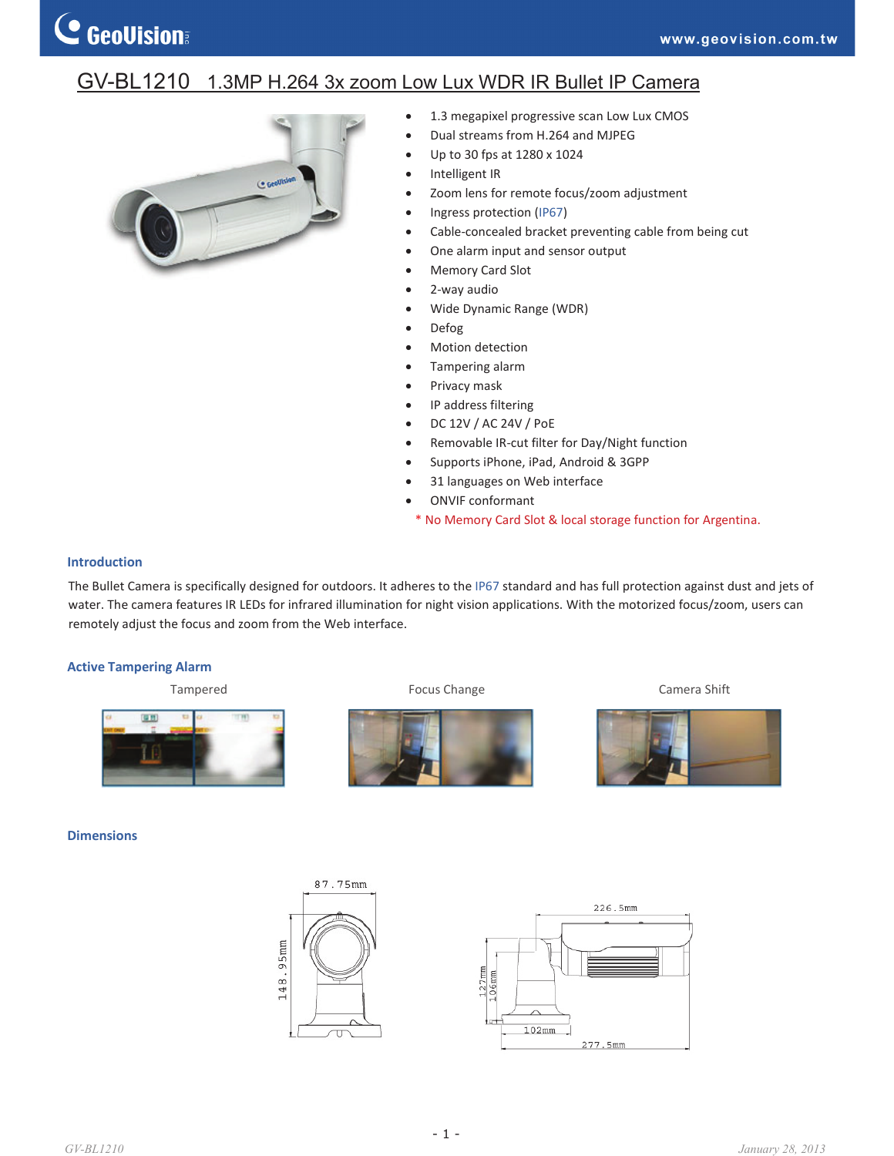# GV-BL1210 1.3MP H.264 3x zoom Low Lux WDR IR Bullet IP Camera



- 1.3 megapixel progressive scan Low Lux CMOS
- Dual streams from H.264 and MJPEG
- x Up to 30 fps at 1280 x 1024
- Intelligent IR
- Zoom lens for remote focus/zoom adjustment
- Ingress protection (IP67)
- Cable-concealed bracket preventing cable from being cut
- One alarm input and sensor output
- Memory Card Slot
- 2-way audio
- Wide Dynamic Range (WDR)
- Defog
- Motion detection
- Tampering alarm
- Privacy mask
- IP address filtering
- x DC 12V / AC 24V / PoE
- Removable IR-cut filter for Day/Night function
- Supports iPhone, iPad, Android & 3GPP
- 31 languages on Web interface
- ONVIF conformant
- \* No Memory Card Slot & local storage function for Argentina.

#### **Introduction**

The Bullet Camera is specifically designed for outdoors. It adheres to the IP67 standard and has full protection against dust and jets of water. The camera features IR LEDs for infrared illumination for night vision applications. With the motorized focus/zoom, users can remotely adjust the focus and zoom from the Web interface.

#### **Active Tampering Alarm**

Tampered **Focus Change Focus Change Camera Shift** 圖器 m

#### **Dimensions**



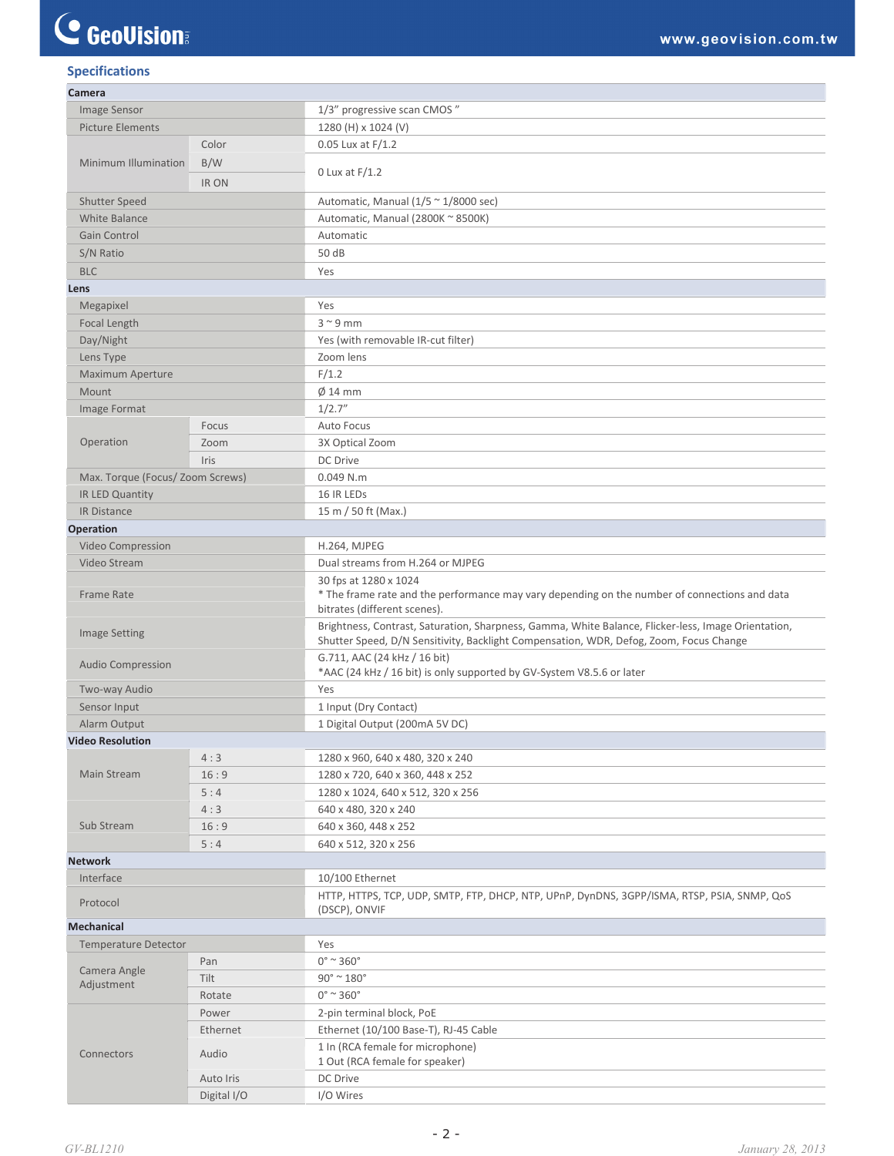# C GeoVision

## **Specifications**

| Camera                           |              |                                                                                                                                                                                               |
|----------------------------------|--------------|-----------------------------------------------------------------------------------------------------------------------------------------------------------------------------------------------|
| <b>Image Sensor</b>              |              | 1/3" progressive scan CMOS"                                                                                                                                                                   |
| <b>Picture Elements</b>          |              | 1280 (H) x 1024 (V)                                                                                                                                                                           |
| Minimum Illumination             | Color        | $0.05$ Lux at $F/1.2$                                                                                                                                                                         |
|                                  | B/W          |                                                                                                                                                                                               |
|                                  | <b>IR ON</b> | $0$ Lux at $F/1.2$                                                                                                                                                                            |
| <b>Shutter Speed</b>             |              | Automatic, Manual ( $1/5 \approx 1/8000$ sec)                                                                                                                                                 |
| <b>White Balance</b>             |              | Automatic, Manual (2800K ~ 8500K)                                                                                                                                                             |
| Gain Control                     |              | Automatic                                                                                                                                                                                     |
|                                  |              | 50 dB                                                                                                                                                                                         |
| S/N Ratio                        |              |                                                                                                                                                                                               |
| <b>BLC</b>                       |              | Yes                                                                                                                                                                                           |
| Lens                             |              |                                                                                                                                                                                               |
| Megapixel                        |              | Yes                                                                                                                                                                                           |
| Focal Length                     |              | $3^{\sim}9$ mm                                                                                                                                                                                |
| Day/Night                        |              | Yes (with removable IR-cut filter)                                                                                                                                                            |
| Lens Type                        |              | Zoom lens                                                                                                                                                                                     |
| <b>Maximum Aperture</b>          |              | F/1.2                                                                                                                                                                                         |
| Mount                            |              | $\varnothing$ 14 mm                                                                                                                                                                           |
| Image Format                     |              | 1/2.7''                                                                                                                                                                                       |
|                                  | Focus        | Auto Focus                                                                                                                                                                                    |
| Operation                        | Zoom         | 3X Optical Zoom                                                                                                                                                                               |
|                                  | Iris         | DC Drive                                                                                                                                                                                      |
| Max. Torque (Focus/ Zoom Screws) |              | 0.049 N.m                                                                                                                                                                                     |
| IR LED Quantity                  |              | 16 IR LEDS                                                                                                                                                                                    |
| IR Distance                      |              | 15 m / 50 ft (Max.)                                                                                                                                                                           |
| <b>Operation</b>                 |              |                                                                                                                                                                                               |
| Video Compression                |              | H.264, MJPEG                                                                                                                                                                                  |
| Video Stream                     |              | Dual streams from H.264 or MJPEG                                                                                                                                                              |
|                                  |              | 30 fps at 1280 x 1024                                                                                                                                                                         |
| <b>Frame Rate</b>                |              | * The frame rate and the performance may vary depending on the number of connections and data                                                                                                 |
|                                  |              | bitrates (different scenes).                                                                                                                                                                  |
| <b>Image Setting</b>             |              | Brightness, Contrast, Saturation, Sharpness, Gamma, White Balance, Flicker-less, Image Orientation,<br>Shutter Speed, D/N Sensitivity, Backlight Compensation, WDR, Defog, Zoom, Focus Change |
| <b>Audio Compression</b>         |              | G.711, AAC (24 kHz / 16 bit)<br>*AAC (24 kHz / 16 bit) is only supported by GV-System V8.5.6 or later                                                                                         |
| Two-way Audio                    |              | Yes                                                                                                                                                                                           |
| Sensor Input                     |              | 1 Input (Dry Contact)                                                                                                                                                                         |
| Alarm Output                     |              | 1 Digital Output (200mA 5V DC)                                                                                                                                                                |
| <b>Video Resolution</b>          |              |                                                                                                                                                                                               |
|                                  | 4:3          | 1280 x 960, 640 x 480, 320 x 240                                                                                                                                                              |
| Main Stream                      | 16:9         | 1280 x 720, 640 x 360, 448 x 252                                                                                                                                                              |
|                                  | 5:4          | 1280 x 1024, 640 x 512, 320 x 256                                                                                                                                                             |
|                                  | 4:3          | 640 x 480, 320 x 240                                                                                                                                                                          |
| Sub Stream                       | 16:9         | 640 x 360, 448 x 252                                                                                                                                                                          |
|                                  | 5:4          | 640 x 512, 320 x 256                                                                                                                                                                          |
| <b>Network</b>                   |              |                                                                                                                                                                                               |
| Interface                        |              | 10/100 Ethernet                                                                                                                                                                               |
|                                  |              |                                                                                                                                                                                               |
| Protocol                         |              | HTTP, HTTPS, TCP, UDP, SMTP, FTP, DHCP, NTP, UPnP, DynDNS, 3GPP/ISMA, RTSP, PSIA, SNMP, QoS<br>(DSCP), ONVIF                                                                                  |
| <b>Mechanical</b>                |              |                                                                                                                                                                                               |
| <b>Temperature Detector</b>      |              | Yes                                                                                                                                                                                           |
| Camera Angle<br>Adjustment       | Pan          | $0^\circ$ ~ 360 $^\circ$                                                                                                                                                                      |
|                                  | Tilt         | $90^\circ$ ~ $180^\circ$                                                                                                                                                                      |
|                                  | Rotate       | $0^\circ$ ~ 360 $^\circ$                                                                                                                                                                      |
| Connectors                       | Power        | 2-pin terminal block, PoE                                                                                                                                                                     |
|                                  | Ethernet     | Ethernet (10/100 Base-T), RJ-45 Cable                                                                                                                                                         |
|                                  | Audio        | 1 In (RCA female for microphone)<br>1 Out (RCA female for speaker)                                                                                                                            |
|                                  | Auto Iris    | DC Drive                                                                                                                                                                                      |
|                                  | Digital I/O  | I/O Wires                                                                                                                                                                                     |
|                                  |              |                                                                                                                                                                                               |